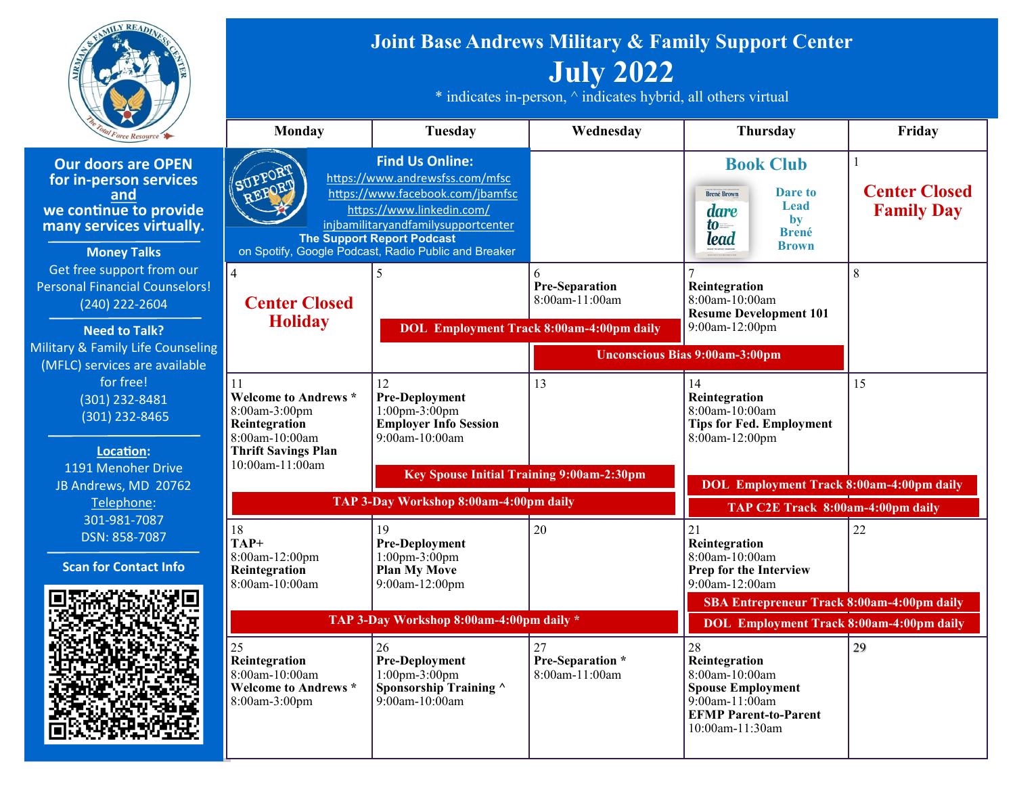

**Our doors are C for in-person ser and we continue to p many services virtually** 

**Money Talks** Get free support from Personal Financial Co (240) 222-2604

**Need to Talk?** Military & Family Life C (MFLC) services are a for free! (301) 232-8481 (301) 232-846

> **Location:** 1191 Menoher D JB Andrews, MD 2 Telephone: 301-981-7087 DSN: 858-7087

**Scan for Contact** 



## **Joint Base Andrews Military & Family Support Center July 2022**

 $*$  indicates in-person,  $\land$  indicates hybrid, all others virtual

|                                               | Monday                                                                                                              | Tuesday                                                                                                                                                                                                                                                        | Wednesday                                                                                       | Thursday                                                                                                                                  | Friday                                    |
|-----------------------------------------------|---------------------------------------------------------------------------------------------------------------------|----------------------------------------------------------------------------------------------------------------------------------------------------------------------------------------------------------------------------------------------------------------|-------------------------------------------------------------------------------------------------|-------------------------------------------------------------------------------------------------------------------------------------------|-------------------------------------------|
| <b>PEN</b><br>rvices<br>rovide<br>tually.     | SUPPOR<br>REPORT                                                                                                    | <b>Find Us Online:</b><br>https://www.andrewsfss.com/mfsc<br>https://www.facebook.com/jbamfsc<br>https://www.linkedin.com/<br>injbamilitaryandfamilysupportcenter<br><b>The Support Report Podcast</b><br>on Spotify, Google Podcast, Radio Public and Breaker |                                                                                                 | <b>Book Club</b><br><b>Dare to</b><br><b>Brené Brown</b><br>Lead<br>dare<br>by<br>to<br><b>Brené</b><br>lead<br><b>Brown</b>              | <b>Center Closed</b><br><b>Family Day</b> |
| om our<br>unselors!<br>4<br><b>Counseling</b> | $\overline{4}$<br><b>Center Closed</b><br><b>Holiday</b>                                                            | $\varsigma$                                                                                                                                                                                                                                                    | 6<br><b>Pre-Separation</b><br>8:00am-11:00am<br><b>DOL</b> Employment Track 8:00am-4:00pm daily | Reintegration<br>8:00am-10:00am<br><b>Resume Development 101</b><br>9:00am-12:00pm                                                        | 8                                         |
| <b>vailable</b>                               |                                                                                                                     |                                                                                                                                                                                                                                                                | <b>Unconscious Bias 9:00am-3:00pm</b>                                                           |                                                                                                                                           |                                           |
| $\overline{1}$<br>$\overline{5}$              | 11<br><b>Welcome to Andrews *</b><br>8:00am-3:00pm<br>Reintegration<br>8:00am-10:00am<br><b>Thrift Savings Plan</b> | 12<br><b>Pre-Deployment</b><br>1:00pm-3:00pm<br><b>Employer Info Session</b><br>9:00am-10:00am                                                                                                                                                                 | 13                                                                                              | 14<br>Reintegration<br>8:00am-10:00am<br><b>Tips for Fed. Employment</b><br>8:00am-12:00pm                                                | 15                                        |
| rive<br>0762                                  | 10:00am-11:00am                                                                                                     | Key Spouse Initial Training 9:00am-2:30pm                                                                                                                                                                                                                      |                                                                                                 |                                                                                                                                           |                                           |
|                                               | TAP 3-Day Workshop 8:00am-4:00pm daily                                                                              |                                                                                                                                                                                                                                                                | <b>DOL</b> Employment Track 8:00am-4:00pm daily<br>TAP C2E Track 8:00am-4:00pm daily            |                                                                                                                                           |                                           |
| 7<br><b>Info</b>                              | 18<br>TAP+<br>8:00am-12:00pm<br>Reintegration<br>8:00am-10:00am                                                     | 19<br><b>Pre-Deployment</b><br>$1:00 \text{pm} - 3:00 \text{pm}$<br><b>Plan My Move</b><br>9:00am-12:00pm                                                                                                                                                      | 20                                                                                              | 21<br>Reintegration<br>8:00am-10:00am<br>Prep for the Interview<br>9:00am-12:00am                                                         | 22                                        |
|                                               |                                                                                                                     |                                                                                                                                                                                                                                                                |                                                                                                 | SBA Entrepreneur Track 8:00am-4:00pm daily                                                                                                |                                           |
|                                               | TAP 3-Day Workshop 8:00am-4:00pm daily *                                                                            |                                                                                                                                                                                                                                                                |                                                                                                 | <b>DOL Employment Track 8:00am-4:00pm daily</b>                                                                                           |                                           |
|                                               | 25<br>Reintegration<br>$8:00$ am-10:00am<br><b>Welcome to Andrews *</b><br>8:00am-3:00pm                            | 26<br><b>Pre-Deployment</b><br>$1:00 \text{pm} - 3:00 \text{pm}$<br>Sponsorship Training ^<br>$9:00$ am- $10:00$ am                                                                                                                                            | 27<br>Pre-Separation *<br>8:00am-11:00am                                                        | 28<br>Reintegration<br>8:00am-10:00am<br><b>Spouse Employment</b><br>$9:00$ am-11:00am<br><b>EFMP Parent-to-Parent</b><br>10:00am-11:30am | 29                                        |